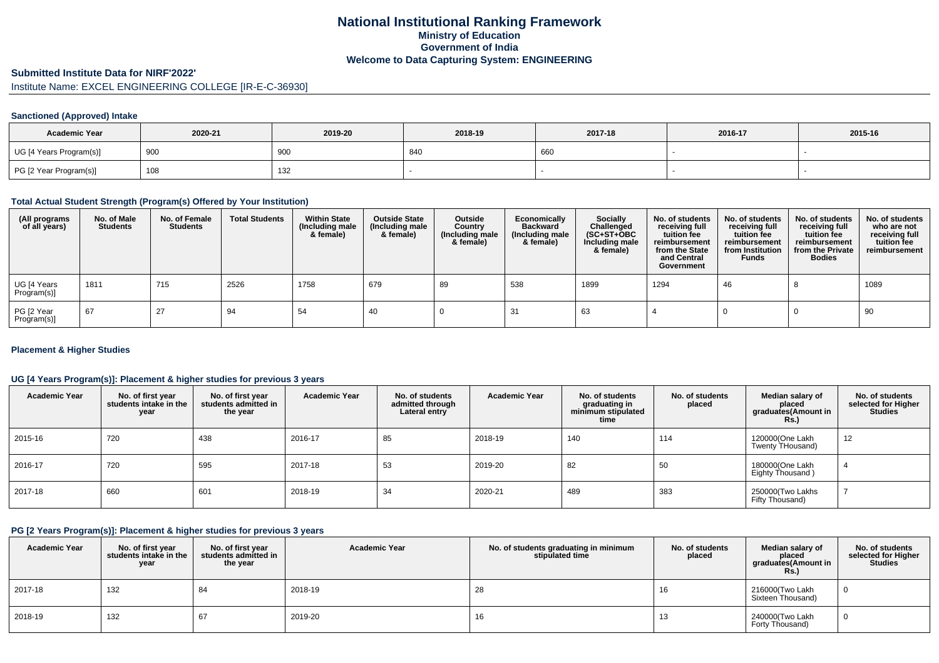# **National Institutional Ranking FrameworkMinistry of Education Government of IndiaWelcome to Data Capturing System: ENGINEERING**

# **Submitted Institute Data for NIRF'2022'**

# Institute Name: EXCEL ENGINEERING COLLEGE [IR-E-C-36930]

### **Sanctioned (Approved) Intake**

| <b>Academic Year</b>    | 2020-21 | 2019-20 | 2018-19 | 2017-18 | 2016-17 | 2015-16 |
|-------------------------|---------|---------|---------|---------|---------|---------|
| UG [4 Years Program(s)] | 900     | 900     | 840     | 660     |         |         |
| PG [2 Year Program(s)]  | 108     | 132     |         |         |         |         |

### **Total Actual Student Strength (Program(s) Offered by Your Institution)**

| (All programs<br>of all years) | No. of Male<br><b>Students</b> | No. of Female<br><b>Students</b> | <b>Total Students</b> | <b>Within State</b><br>(Including male<br>& female) | <b>Outside State</b><br>(Including male<br>& female) | Outside<br>Country<br>(Including male<br>& female) | Economically<br><b>Backward</b><br>(Including male<br>& female) | Socially<br>Challenged<br>$(SC+ST+OBC)$<br>Including male<br>& female) | No. of students<br>receiving full<br>tuition fee<br>reimbursement<br>from the State<br>and Central<br>Government | No. of students<br>receiving full<br>tuition fee<br>reimbursement<br>from Institution<br><b>Funds</b> | No. of students<br>receiving full<br>tuition fee<br>reimbursement<br>from the Private<br><b>Bodies</b> | No. of students<br>who are not<br>receiving full<br>tuition fee<br>reimbursement |
|--------------------------------|--------------------------------|----------------------------------|-----------------------|-----------------------------------------------------|------------------------------------------------------|----------------------------------------------------|-----------------------------------------------------------------|------------------------------------------------------------------------|------------------------------------------------------------------------------------------------------------------|-------------------------------------------------------------------------------------------------------|--------------------------------------------------------------------------------------------------------|----------------------------------------------------------------------------------|
| UG [4 Years<br>Program(s)]     | 1811                           | 715                              | 2526                  | 1758                                                | 679                                                  | 89                                                 | 538                                                             | 1899                                                                   | 1294                                                                                                             | 46                                                                                                    |                                                                                                        | 1089                                                                             |
| PG [2 Year<br>Program(s)]      | 67                             | 27                               | 94                    | -54                                                 | -40                                                  |                                                    | -31                                                             | 63                                                                     |                                                                                                                  |                                                                                                       |                                                                                                        | 90                                                                               |

### **Placement & Higher Studies**

### **UG [4 Years Program(s)]: Placement & higher studies for previous 3 years**

| <b>Academic Year</b> | No. of first year<br>students intake in the<br>year | No. of first vear<br>students admitted in<br>the year | <b>Academic Year</b> | No. of students<br>admitted through<br>Lateral entry | <b>Academic Year</b> | No. of students<br>graduating in<br>minimum stipulated<br>time | No. of students<br>placed | Median salary of<br>placed<br>graduates(Amount in<br>Rs. | No. of students<br>selected for Higher<br><b>Studies</b> |
|----------------------|-----------------------------------------------------|-------------------------------------------------------|----------------------|------------------------------------------------------|----------------------|----------------------------------------------------------------|---------------------------|----------------------------------------------------------|----------------------------------------------------------|
| 2015-16              | 720                                                 | 438                                                   | 2016-17              | 85                                                   | 2018-19              | 140                                                            | 114                       | 120000(One Lakh<br>Twenty THousand)                      | 12                                                       |
| 2016-17              | 720                                                 | 595                                                   | 2017-18              | 53                                                   | 2019-20              | 82                                                             | 50                        | 180000(One Lakh<br>Eighty Thousand)                      | 4                                                        |
| 2017-18              | 660                                                 | 601                                                   | 2018-19              | 34                                                   | 2020-21              | 489                                                            | 383                       | 250000(Two Lakhs<br>Fifty Thousand)                      |                                                          |

### **PG [2 Years Program(s)]: Placement & higher studies for previous 3 years**

| <b>Academic Year</b> | No. of first year<br>students intake in the<br>year | No. of first year<br>students admitted in<br>the year | <b>Academic Year</b> | No. of students graduating in minimum<br>stipulated time | No. of students<br>placed | Median salary of<br>placed<br>graduates(Amount in<br>Rs. | No. of students<br>selected for Higher<br><b>Studies</b> |
|----------------------|-----------------------------------------------------|-------------------------------------------------------|----------------------|----------------------------------------------------------|---------------------------|----------------------------------------------------------|----------------------------------------------------------|
| 2017-18              | 132                                                 | 84                                                    | 2018-19              | 28                                                       | 16                        | 216000(Two Lakh<br>Sixteen Thousand)                     |                                                          |
| 2018-19              | 132                                                 | 67                                                    | 2019-20              | 16                                                       | 13                        | 240000(Two Lakh<br>Forty Thousand)                       |                                                          |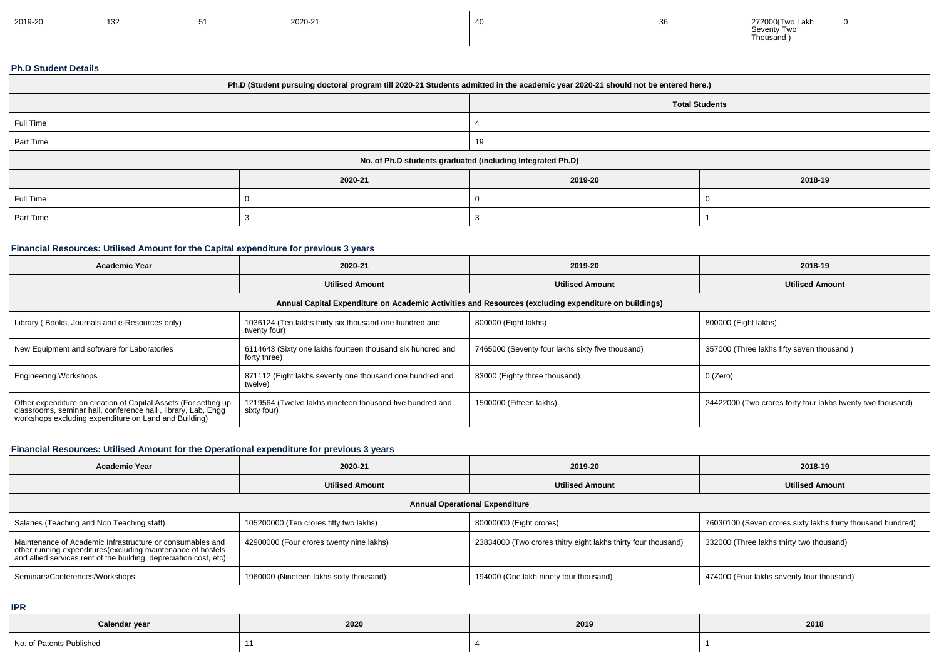| 2019-20 | 132 |  | 2020-21 |  |  | Two Lakh<br>272000(Two L<br>Seventy Two<br>Thousand ) |  |
|---------|-----|--|---------|--|--|-------------------------------------------------------|--|
|---------|-----|--|---------|--|--|-------------------------------------------------------|--|

#### **Ph.D Student Details**

| Ph.D (Student pursuing doctoral program till 2020-21 Students admitted in the academic year 2020-21 should not be entered here.) |         |                       |         |  |  |  |
|----------------------------------------------------------------------------------------------------------------------------------|---------|-----------------------|---------|--|--|--|
|                                                                                                                                  |         | <b>Total Students</b> |         |  |  |  |
| Full Time                                                                                                                        |         |                       |         |  |  |  |
| Part Time                                                                                                                        |         | 19                    |         |  |  |  |
| No. of Ph.D students graduated (including Integrated Ph.D)                                                                       |         |                       |         |  |  |  |
|                                                                                                                                  | 2020-21 | 2019-20               | 2018-19 |  |  |  |
| Full Time                                                                                                                        |         |                       |         |  |  |  |
| Part Time                                                                                                                        |         |                       |         |  |  |  |

## **Financial Resources: Utilised Amount for the Capital expenditure for previous 3 years**

| <b>Academic Year</b>                                                                                                                                                                      | 2020-21                                                                    | 2019-20                                          | 2018-19                                                    |  |  |  |  |  |
|-------------------------------------------------------------------------------------------------------------------------------------------------------------------------------------------|----------------------------------------------------------------------------|--------------------------------------------------|------------------------------------------------------------|--|--|--|--|--|
|                                                                                                                                                                                           | <b>Utilised Amount</b>                                                     | <b>Utilised Amount</b>                           | <b>Utilised Amount</b>                                     |  |  |  |  |  |
| Annual Capital Expenditure on Academic Activities and Resources (excluding expenditure on buildings)                                                                                      |                                                                            |                                                  |                                                            |  |  |  |  |  |
| Library (Books, Journals and e-Resources only)                                                                                                                                            | 1036124 (Ten lakhs thirty six thousand one hundred and<br>twenty four)     | 800000 (Eight lakhs)                             | 800000 (Eight lakhs)                                       |  |  |  |  |  |
| New Equipment and software for Laboratories                                                                                                                                               | 6114643 (Sixty one lakhs fourteen thousand six hundred and<br>forty three) | 7465000 (Seventy four lakhs sixty five thousand) | 357000 (Three lakhs fifty seven thousand)                  |  |  |  |  |  |
| <b>Engineering Workshops</b>                                                                                                                                                              | 871112 (Eight lakhs seventy one thousand one hundred and<br>twelve)        | 83000 (Eighty three thousand)                    | 0 (Zero)                                                   |  |  |  |  |  |
| Other expenditure on creation of Capital Assets (For setting up<br>classrooms, seminar hall, conference hall, library, Lab, Engg<br>workshops excluding expenditure on Land and Building) | 1219564 (Twelve lakhs nineteen thousand five hundred and<br>sixty four)    | 1500000 (Fifteen lakhs)                          | 24422000 (Two crores forty four lakhs twenty two thousand) |  |  |  |  |  |

# **Financial Resources: Utilised Amount for the Operational expenditure for previous 3 years**

| <b>Academic Year</b>                                                                                                                                                                           | 2020-21                                  | 2019-20                                                       | 2018-19                                                     |  |  |  |  |  |
|------------------------------------------------------------------------------------------------------------------------------------------------------------------------------------------------|------------------------------------------|---------------------------------------------------------------|-------------------------------------------------------------|--|--|--|--|--|
|                                                                                                                                                                                                | <b>Utilised Amount</b>                   | <b>Utilised Amount</b>                                        | <b>Utilised Amount</b>                                      |  |  |  |  |  |
| <b>Annual Operational Expenditure</b>                                                                                                                                                          |                                          |                                                               |                                                             |  |  |  |  |  |
| Salaries (Teaching and Non Teaching staff)                                                                                                                                                     | 105200000 (Ten crores fifty two lakhs)   | 80000000 (Eight crores)                                       | 76030100 (Seven crores sixty lakhs thirty thousand hundred) |  |  |  |  |  |
| Maintenance of Academic Infrastructure or consumables and<br>other running expenditures(excluding maintenance of hostels<br>and allied services, rent of the building, depreciation cost, etc) | 42900000 (Four crores twenty nine lakhs) | 23834000 (Two crores thitry eight lakhs thirty four thousand) | 332000 (Three lakhs thirty two thousand)                    |  |  |  |  |  |
| Seminars/Conferences/Workshops                                                                                                                                                                 | 1960000 (Nineteen lakhs sixty thousand)  | 194000 (One lakh ninety four thousand)                        | 474000 (Four lakhs seventy four thousand)                   |  |  |  |  |  |

**IPR**

| Calendar year            | 2020 | 2019 | 2018 |
|--------------------------|------|------|------|
| No. of Patents Published |      |      |      |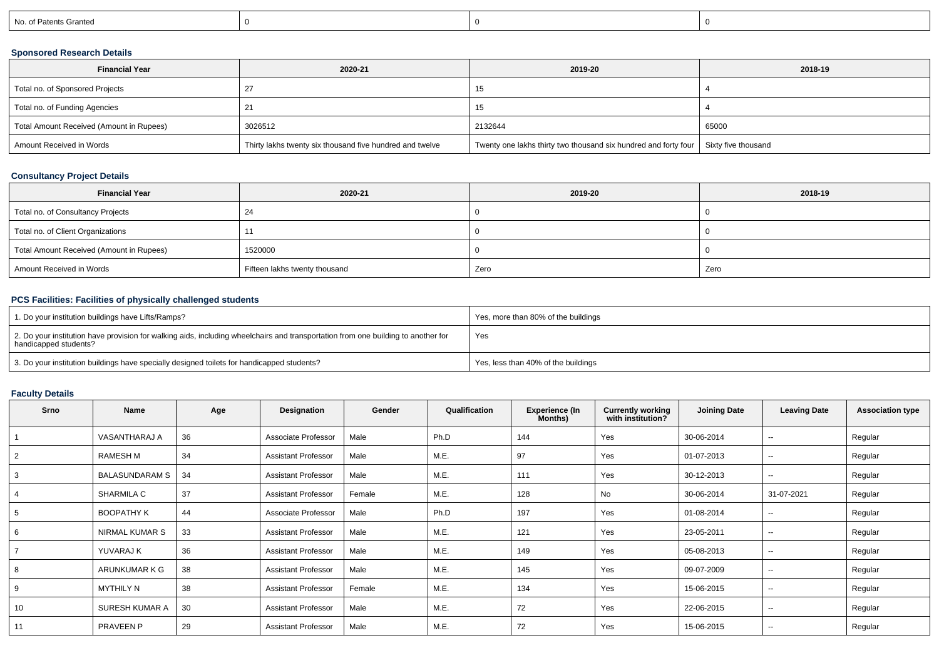| No. of Patents Granted |
|------------------------|
|------------------------|

## **Sponsored Research Details**

| <b>Financial Year</b>                    | 2020-21                                                  | 2019-20                                                                               | 2018-19 |
|------------------------------------------|----------------------------------------------------------|---------------------------------------------------------------------------------------|---------|
| Total no. of Sponsored Projects          |                                                          | ιIJ                                                                                   |         |
| Total no. of Funding Agencies            |                                                          | כ ו                                                                                   |         |
| Total Amount Received (Amount in Rupees) | 3026512                                                  | 2132644                                                                               | 65000   |
| Amount Received in Words                 | Thirty lakhs twenty six thousand five hundred and twelve | Twenty one lakhs thirty two thousand six hundred and forty four   Sixty five thousand |         |

## **Consultancy Project Details**

| <b>Financial Year</b>                    | 2020-21                       | 2019-20 | 2018-19 |
|------------------------------------------|-------------------------------|---------|---------|
| Total no. of Consultancy Projects        | 24                            |         |         |
| Total no. of Client Organizations        |                               |         |         |
| Total Amount Received (Amount in Rupees) | 1520000                       |         |         |
| Amount Received in Words                 | Fifteen lakhs twenty thousand | Zero    | Zero    |

## **PCS Facilities: Facilities of physically challenged students**

| 1. Do your institution buildings have Lifts/Ramps?                                                                                                         | Yes, more than 80% of the buildings |
|------------------------------------------------------------------------------------------------------------------------------------------------------------|-------------------------------------|
| 2. Do your institution have provision for walking aids, including wheelchairs and transportation from one building to another for<br>handicapped students? | Yes                                 |
| 3. Do your institution buildings have specially designed toilets for handicapped students?                                                                 | Yes, less than 40% of the buildings |

# **Faculty Details**

| Srno           | Name                  | Age | Designation                | Gender | Qualification | <b>Experience (In</b><br>Months) | <b>Currently working</b><br>with institution? | <b>Joining Date</b> | <b>Leaving Date</b>      | <b>Association type</b> |
|----------------|-----------------------|-----|----------------------------|--------|---------------|----------------------------------|-----------------------------------------------|---------------------|--------------------------|-------------------------|
|                | <b>VASANTHARAJ A</b>  | 36  | Associate Professor        | Male   | Ph.D          | 144                              | Yes                                           | 30-06-2014          | --                       | Regular                 |
| $\overline{2}$ | RAMESH M              | 34  | <b>Assistant Professor</b> | Male   | M.E.          | 97                               | Yes                                           | 01-07-2013          | $\sim$                   | Regular                 |
| 3              | <b>BALASUNDARAM S</b> | 34  | <b>Assistant Professor</b> | Male   | M.E.          | 111                              | Yes                                           | 30-12-2013          | $\sim$                   | Regular                 |
| 4              | SHARMILA C            | 37  | <b>Assistant Professor</b> | Female | M.E.          | 128                              | No                                            | 30-06-2014          | 31-07-2021               | Regular                 |
| 5              | <b>BOOPATHY K</b>     | 44  | Associate Professor        | Male   | Ph.D          | 197                              | Yes                                           | 01-08-2014          | --                       | Regular                 |
| 6              | NIRMAL KUMAR S        | 33  | <b>Assistant Professor</b> | Male   | M.E.          | 121                              | Yes                                           | 23-05-2011          | $\overline{\phantom{a}}$ | Regular                 |
|                | YUVARAJ K             | 36  | <b>Assistant Professor</b> | Male   | M.E.          | 149                              | Yes                                           | 05-08-2013          | $\overline{\phantom{a}}$ | Regular                 |
| 8              | ARUNKUMAR K G         | 38  | <b>Assistant Professor</b> | Male   | M.E.          | 145                              | Yes                                           | 09-07-2009          | --                       | Regular                 |
| 9              | <b>MYTHILY N</b>      | 38  | <b>Assistant Professor</b> | Female | M.E.          | 134                              | Yes                                           | 15-06-2015          | $\overline{\phantom{a}}$ | Regular                 |
| 10             | SURESH KUMAR A        | 30  | <b>Assistant Professor</b> | Male   | M.E.          | 72                               | Yes                                           | 22-06-2015          | $\overline{\phantom{a}}$ | Regular                 |
| 11             | <b>PRAVEEN P</b>      | 29  | <b>Assistant Professor</b> | Male   | M.E.          | 72                               | Yes                                           | 15-06-2015          | --                       | Regular                 |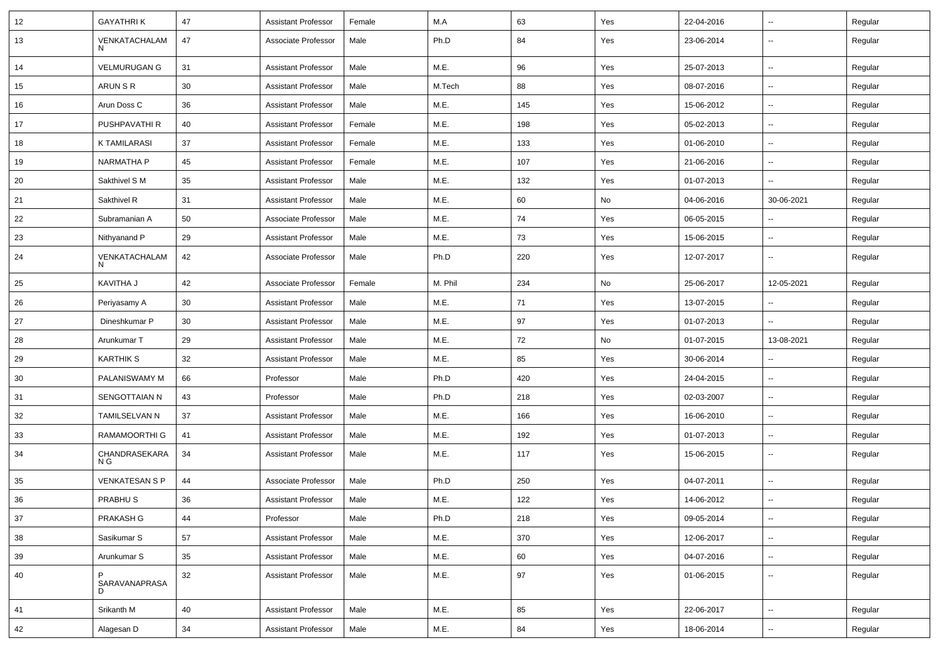| 12 | <b>GAYATHRIK</b>      | 47     | <b>Assistant Professor</b> | Female | M.A     | 63  | Yes | 22-04-2016 | ⊶.                       | Regular |
|----|-----------------------|--------|----------------------------|--------|---------|-----|-----|------------|--------------------------|---------|
| 13 | VENKATACHALAM<br>N    | 47     | Associate Professor        | Male   | Ph.D    | 84  | Yes | 23-06-2014 | Ξ.                       | Regular |
| 14 | <b>VELMURUGAN G</b>   | 31     | <b>Assistant Professor</b> | Male   | M.E.    | 96  | Yes | 25-07-2013 | $\overline{\phantom{a}}$ | Regular |
| 15 | ARUN S R              | 30     | <b>Assistant Professor</b> | Male   | M.Tech  | 88  | Yes | 08-07-2016 | ⊶.                       | Regular |
| 16 | Arun Doss C           | 36     | <b>Assistant Professor</b> | Male   | M.E.    | 145 | Yes | 15-06-2012 | ⊷.                       | Regular |
| 17 | PUSHPAVATHI R         | 40     | <b>Assistant Professor</b> | Female | M.E.    | 198 | Yes | 05-02-2013 | $\sim$                   | Regular |
| 18 | <b>K TAMILARASI</b>   | 37     | <b>Assistant Professor</b> | Female | M.E.    | 133 | Yes | 01-06-2010 | ⊶.                       | Regular |
| 19 | <b>NARMATHA P</b>     | 45     | <b>Assistant Professor</b> | Female | M.E.    | 107 | Yes | 21-06-2016 | ⊷.                       | Regular |
| 20 | Sakthivel S M         | 35     | <b>Assistant Professor</b> | Male   | M.E.    | 132 | Yes | 01-07-2013 | Ξ.                       | Regular |
| 21 | Sakthivel R           | 31     | <b>Assistant Professor</b> | Male   | M.E.    | 60  | No  | 04-06-2016 | 30-06-2021               | Regular |
| 22 | Subramanian A         | 50     | Associate Professor        | Male   | M.E.    | 74  | Yes | 06-05-2015 | --                       | Regular |
| 23 | Nithyanand P          | 29     | <b>Assistant Professor</b> | Male   | M.E.    | 73  | Yes | 15-06-2015 | $\sim$                   | Regular |
| 24 | VENKATACHALAM<br>N    | 42     | Associate Professor        | Male   | Ph.D    | 220 | Yes | 12-07-2017 | ⊶.                       | Regular |
| 25 | KAVITHA J             | 42     | Associate Professor        | Female | M. Phil | 234 | No  | 25-06-2017 | 12-05-2021               | Regular |
| 26 | Periyasamy A          | 30     | <b>Assistant Professor</b> | Male   | M.E.    | 71  | Yes | 13-07-2015 | ⊶.                       | Regular |
| 27 | Dineshkumar P         | 30     | <b>Assistant Professor</b> | Male   | M.E.    | 97  | Yes | 01-07-2013 | $\sim$                   | Regular |
| 28 | Arunkumar T           | 29     | <b>Assistant Professor</b> | Male   | M.E.    | 72  | No  | 01-07-2015 | 13-08-2021               | Regular |
| 29 | <b>KARTHIK S</b>      | 32     | <b>Assistant Professor</b> | Male   | M.E.    | 85  | Yes | 30-06-2014 | --                       | Regular |
| 30 | PALANISWAMY M         | 66     | Professor                  | Male   | Ph.D    | 420 | Yes | 24-04-2015 | $\sim$                   | Regular |
| 31 | SENGOTTAIAN N         | 43     | Professor                  | Male   | Ph.D    | 218 | Yes | 02-03-2007 | $\overline{\phantom{a}}$ | Regular |
| 32 | TAMILSELVAN N         | 37     | <b>Assistant Professor</b> | Male   | M.E.    | 166 | Yes | 16-06-2010 | ⊶.                       | Regular |
| 33 | RAMAMOORTHI G         | 41     | <b>Assistant Professor</b> | Male   | M.E.    | 192 | Yes | 01-07-2013 | $\overline{\phantom{a}}$ | Regular |
| 34 | CHANDRASEKARA<br>N G  | 34     | <b>Assistant Professor</b> | Male   | M.E.    | 117 | Yes | 15-06-2015 | ⊶.                       | Regular |
| 35 | <b>VENKATESAN S P</b> | 44     | Associate Professor        | Male   | Ph.D    | 250 | Yes | 04-07-2011 | $\overline{\phantom{a}}$ | Regular |
| 36 | PRABHU <sub>S</sub>   | 36     | <b>Assistant Professor</b> | Male   | M.E.    | 122 | Yes | 14-06-2012 |                          | Regular |
| 37 | PRAKASH G             | 44     | Professor                  | Male   | Ph.D    | 218 | Yes | 09-05-2014 | $\overline{\phantom{a}}$ | Regular |
| 38 | Sasikumar S           | 57     | <b>Assistant Professor</b> | Male   | M.E.    | 370 | Yes | 12-06-2017 | Щ,                       | Regular |
| 39 | Arunkumar S           | 35     | <b>Assistant Professor</b> | Male   | M.E.    | 60  | Yes | 04-07-2016 | $\overline{\phantom{a}}$ | Regular |
| 40 | P<br>SARAVANAPRASA    | 32     | <b>Assistant Professor</b> | Male   | M.E.    | 97  | Yes | 01-06-2015 | $\overline{\phantom{a}}$ | Regular |
| 41 | Srikanth M            | 40     | Assistant Professor        | Male   | M.E.    | 85  | Yes | 22-06-2017 | $\overline{\phantom{a}}$ | Regular |
| 42 | Alagesan D            | $34\,$ | <b>Assistant Professor</b> | Male   | M.E.    | 84  | Yes | 18-06-2014 | щ.                       | Regular |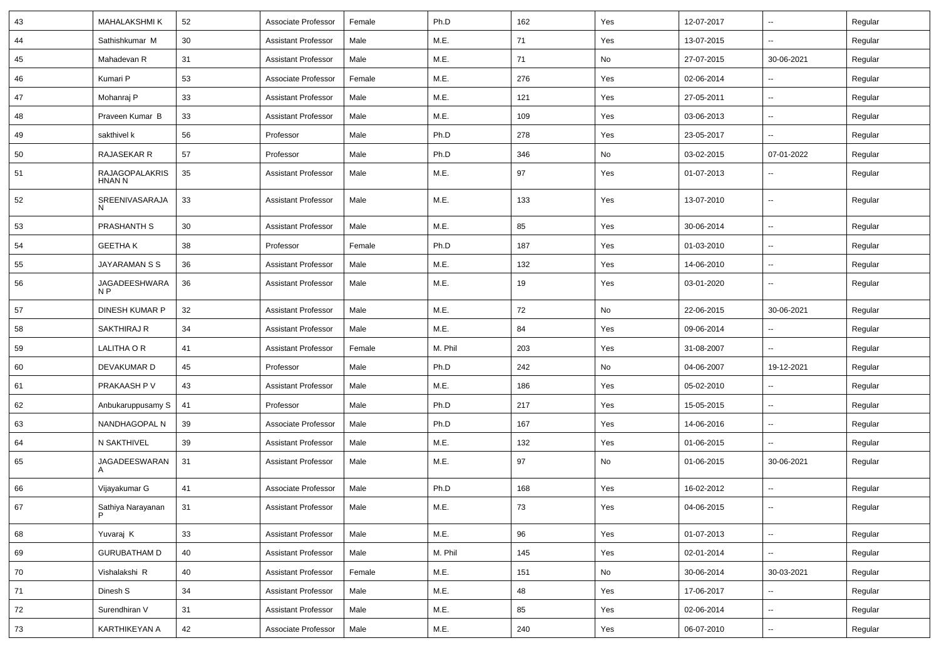| 43     | <b>MAHALAKSHMI K</b>            | 52 | Associate Professor        | Female | Ph.D    | 162 | Yes | 12-07-2017 | Ξ.                       | Regular |
|--------|---------------------------------|----|----------------------------|--------|---------|-----|-----|------------|--------------------------|---------|
| 44     | Sathishkumar M                  | 30 | <b>Assistant Professor</b> | Male   | M.E.    | 71  | Yes | 13-07-2015 | ⊶.                       | Regular |
| 45     | Mahadevan R                     | 31 | <b>Assistant Professor</b> | Male   | M.E.    | 71  | No  | 27-07-2015 | 30-06-2021               | Regular |
| 46     | Kumari P                        | 53 | Associate Professor        | Female | M.E.    | 276 | Yes | 02-06-2014 | $\overline{\phantom{a}}$ | Regular |
| 47     | Mohanraj P                      | 33 | <b>Assistant Professor</b> | Male   | M.E.    | 121 | Yes | 27-05-2011 | Ξ.                       | Regular |
| 48     | Praveen Kumar B                 | 33 | <b>Assistant Professor</b> | Male   | M.E.    | 109 | Yes | 03-06-2013 | Ξ.                       | Regular |
| 49     | sakthivel k                     | 56 | Professor                  | Male   | Ph.D    | 278 | Yes | 23-05-2017 | $\sim$                   | Regular |
| 50     | RAJASEKAR R                     | 57 | Professor                  | Male   | Ph.D    | 346 | No  | 03-02-2015 | 07-01-2022               | Regular |
| 51     | RAJAGOPALAKRIS<br><b>HNAN N</b> | 35 | <b>Assistant Professor</b> | Male   | M.E.    | 97  | Yes | 01-07-2013 | ⊶.                       | Regular |
| 52     | SREENIVASARAJA                  | 33 | <b>Assistant Professor</b> | Male   | M.E.    | 133 | Yes | 13-07-2010 | $\sim$                   | Regular |
| 53     | PRASHANTH S                     | 30 | <b>Assistant Professor</b> | Male   | M.E.    | 85  | Yes | 30-06-2014 | $\sim$                   | Regular |
| 54     | <b>GEETHAK</b>                  | 38 | Professor                  | Female | Ph.D    | 187 | Yes | 01-03-2010 | $\overline{\phantom{a}}$ | Regular |
| 55     | JAYARAMAN S S                   | 36 | <b>Assistant Professor</b> | Male   | M.E.    | 132 | Yes | 14-06-2010 | -−                       | Regular |
| 56     | JAGADEESHWARA<br>N <sub>P</sub> | 36 | <b>Assistant Professor</b> | Male   | M.E.    | 19  | Yes | 03-01-2020 | $\sim$                   | Regular |
| 57     | DINESH KUMAR P                  | 32 | <b>Assistant Professor</b> | Male   | M.E.    | 72  | No  | 22-06-2015 | 30-06-2021               | Regular |
| 58     | <b>SAKTHIRAJ R</b>              | 34 | <b>Assistant Professor</b> | Male   | M.E.    | 84  | Yes | 09-06-2014 | $\overline{\phantom{a}}$ | Regular |
| 59     | LALITHA O R                     | 41 | <b>Assistant Professor</b> | Female | M. Phil | 203 | Yes | 31-08-2007 | ⊷.                       | Regular |
| 60     | DEVAKUMAR D                     | 45 | Professor                  | Male   | Ph.D    | 242 | No  | 04-06-2007 | 19-12-2021               | Regular |
| 61     | PRAKAASH P V                    | 43 | <b>Assistant Professor</b> | Male   | M.E.    | 186 | Yes | 05-02-2010 | $\overline{\phantom{a}}$ | Regular |
| 62     | Anbukaruppusamy S               | 41 | Professor                  | Male   | Ph.D    | 217 | Yes | 15-05-2015 | Ξ.                       | Regular |
| 63     | NANDHAGOPAL N                   | 39 | Associate Professor        | Male   | Ph.D    | 167 | Yes | 14-06-2016 | $\overline{\phantom{a}}$ | Regular |
| 64     | N SAKTHIVEL                     | 39 | <b>Assistant Professor</b> | Male   | M.E.    | 132 | Yes | 01-06-2015 | Щ,                       | Regular |
| 65     | JAGADEESWARAN<br>A              | 31 | <b>Assistant Professor</b> | Male   | M.E.    | 97  | No  | 01-06-2015 | 30-06-2021               | Regular |
| 66     | Vijayakumar G                   | 41 | Associate Professor        | Male   | Ph.D    | 168 | Yes | 16-02-2012 | -−                       | Regular |
| 67     | Sathiya Narayanan<br>P          | 31 | <b>Assistant Professor</b> | Male   | M.E.    | 73  | Yes | 04-06-2015 | $\overline{\phantom{a}}$ | Regular |
| 68     | Yuvaraj K                       | 33 | <b>Assistant Professor</b> | Male   | M.E.    | 96  | Yes | 01-07-2013 | Щ,                       | Regular |
| 69     | <b>GURUBATHAM D</b>             | 40 | <b>Assistant Professor</b> | Male   | M. Phil | 145 | Yes | 02-01-2014 | $\overline{\phantom{a}}$ | Regular |
| $70\,$ | Vishalakshi R                   | 40 | <b>Assistant Professor</b> | Female | M.E.    | 151 | No  | 30-06-2014 | 30-03-2021               | Regular |
| 71     | Dinesh S                        | 34 | <b>Assistant Professor</b> | Male   | M.E.    | 48  | Yes | 17-06-2017 |                          | Regular |
| 72     | Surendhiran V                   | 31 | <b>Assistant Professor</b> | Male   | M.E.    | 85  | Yes | 02-06-2014 | Щ,                       | Regular |
| 73     | KARTHIKEYAN A                   | 42 | Associate Professor        | Male   | M.E.    | 240 | Yes | 06-07-2010 | н,                       | Regular |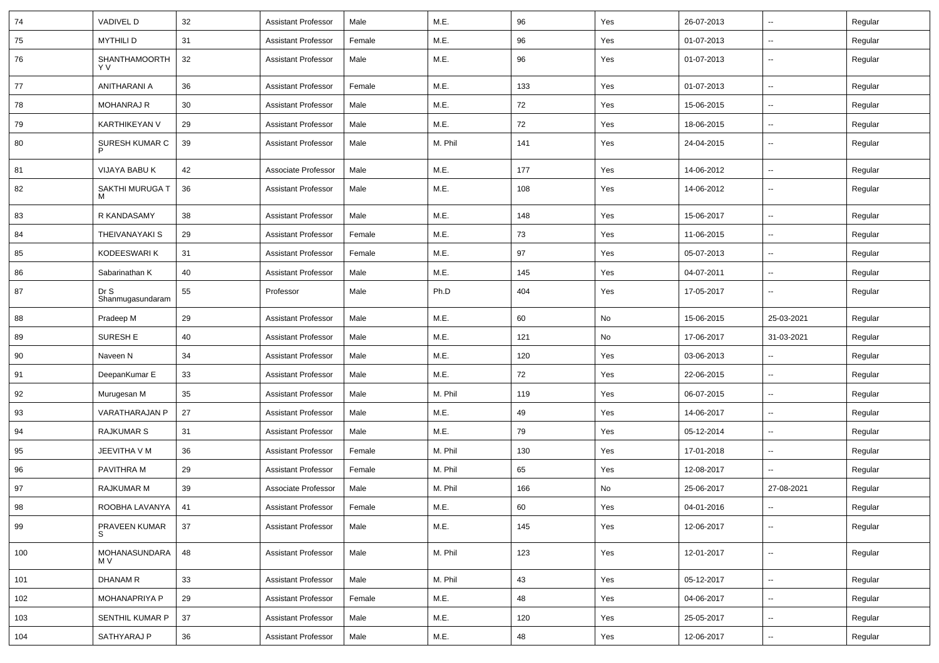| 74  | <b>VADIVEL D</b>         | 32 | <b>Assistant Professor</b> | Male   | M.E.    | 96  | Yes | 26-07-2013 | $\sim$                   | Regular |
|-----|--------------------------|----|----------------------------|--------|---------|-----|-----|------------|--------------------------|---------|
| 75  | <b>MYTHILI D</b>         | 31 | <b>Assistant Professor</b> | Female | M.E.    | 96  | Yes | 01-07-2013 | Щ,                       | Regular |
| 76  | SHANTHAMOORTH<br>Y V     | 32 | <b>Assistant Professor</b> | Male   | M.E.    | 96  | Yes | 01-07-2013 | $\sim$                   | Regular |
| 77  | ANITHARANI A             | 36 | <b>Assistant Professor</b> | Female | M.E.    | 133 | Yes | 01-07-2013 | ш.                       | Regular |
| 78  | <b>MOHANRAJ R</b>        | 30 | <b>Assistant Professor</b> | Male   | M.E.    | 72  | Yes | 15-06-2015 | $\sim$                   | Regular |
| 79  | KARTHIKEYAN V            | 29 | <b>Assistant Professor</b> | Male   | M.E.    | 72  | Yes | 18-06-2015 | $\sim$                   | Regular |
| 80  | SURESH KUMAR C           | 39 | <b>Assistant Professor</b> | Male   | M. Phil | 141 | Yes | 24-04-2015 | $\sim$                   | Regular |
| 81  | VIJAYA BABU K            | 42 | Associate Professor        | Male   | M.E.    | 177 | Yes | 14-06-2012 | $\sim$                   | Regular |
| 82  | SAKTHI MURUGA T          | 36 | <b>Assistant Professor</b> | Male   | M.E.    | 108 | Yes | 14-06-2012 | $\sim$                   | Regular |
| 83  | R KANDASAMY              | 38 | <b>Assistant Professor</b> | Male   | M.E.    | 148 | Yes | 15-06-2017 | $\overline{\phantom{a}}$ | Regular |
| 84  | <b>THEIVANAYAKI S</b>    | 29 | <b>Assistant Professor</b> | Female | M.E.    | 73  | Yes | 11-06-2015 | Ξ.                       | Regular |
| 85  | KODEESWARI K             | 31 | <b>Assistant Professor</b> | Female | M.E.    | 97  | Yes | 05-07-2013 | $\sim$                   | Regular |
| 86  | Sabarinathan K           | 40 | <b>Assistant Professor</b> | Male   | M.E.    | 145 | Yes | 04-07-2011 | $\overline{\phantom{a}}$ | Regular |
| 87  | Dr S<br>Shanmugasundaram | 55 | Professor                  | Male   | Ph.D    | 404 | Yes | 17-05-2017 | Ξ.                       | Regular |
| 88  | Pradeep M                | 29 | <b>Assistant Professor</b> | Male   | M.E.    | 60  | No  | 15-06-2015 | 25-03-2021               | Regular |
| 89  | SURESH E                 | 40 | <b>Assistant Professor</b> | Male   | M.E.    | 121 | No  | 17-06-2017 | 31-03-2021               | Regular |
| 90  | Naveen N                 | 34 | <b>Assistant Professor</b> | Male   | M.E.    | 120 | Yes | 03-06-2013 | $\overline{\phantom{a}}$ | Regular |
| 91  | DeepanKumar E            | 33 | <b>Assistant Professor</b> | Male   | M.E.    | 72  | Yes | 22-06-2015 | $\sim$                   | Regular |
| 92  | Murugesan M              | 35 | <b>Assistant Professor</b> | Male   | M. Phil | 119 | Yes | 06-07-2015 | $\sim$                   | Regular |
| 93  | VARATHARAJAN P           | 27 | <b>Assistant Professor</b> | Male   | M.E.    | 49  | Yes | 14-06-2017 | Ξ.                       | Regular |
| 94  | <b>RAJKUMAR S</b>        | 31 | <b>Assistant Professor</b> | Male   | M.E.    | 79  | Yes | 05-12-2014 | ш.                       | Regular |
| 95  | JEEVITHA V M             | 36 | <b>Assistant Professor</b> | Female | M. Phil | 130 | Yes | 17-01-2018 | $\sim$                   | Regular |
| 96  | PAVITHRA M               | 29 | <b>Assistant Professor</b> | Female | M. Phil | 65  | Yes | 12-08-2017 | $\sim$                   | Regular |
| 97  | <b>RAJKUMAR M</b>        | 39 | Associate Professor        | Male   | M. Phil | 166 | No  | 25-06-2017 | 27-08-2021               | Regular |
| 98  | ROOBHA LAVANYA   41      |    | <b>Assistant Professor</b> | Female | M.E.    | 60  | Yes | 04-01-2016 | $\sim$                   | Regular |
| 99  | PRAVEEN KUMAR<br>S       | 37 | <b>Assistant Professor</b> | Male   | M.E.    | 145 | Yes | 12-06-2017 | Ξ.                       | Regular |
| 100 | MOHANASUNDARA<br>M V     | 48 | <b>Assistant Professor</b> | Male   | M. Phil | 123 | Yes | 12-01-2017 | $\overline{\phantom{a}}$ | Regular |
| 101 | <b>DHANAM R</b>          | 33 | <b>Assistant Professor</b> | Male   | M. Phil | 43  | Yes | 05-12-2017 | $\sim$                   | Regular |
| 102 | MOHANAPRIYA P            | 29 | <b>Assistant Professor</b> | Female | M.E.    | 48  | Yes | 04-06-2017 | $\overline{\phantom{a}}$ | Regular |
| 103 | SENTHIL KUMAR P          | 37 | <b>Assistant Professor</b> | Male   | M.E.    | 120 | Yes | 25-05-2017 | $\overline{\phantom{a}}$ | Regular |
| 104 | SATHYARAJ P              | 36 | <b>Assistant Professor</b> | Male   | M.E.    | 48  | Yes | 12-06-2017 | $\overline{\phantom{a}}$ | Regular |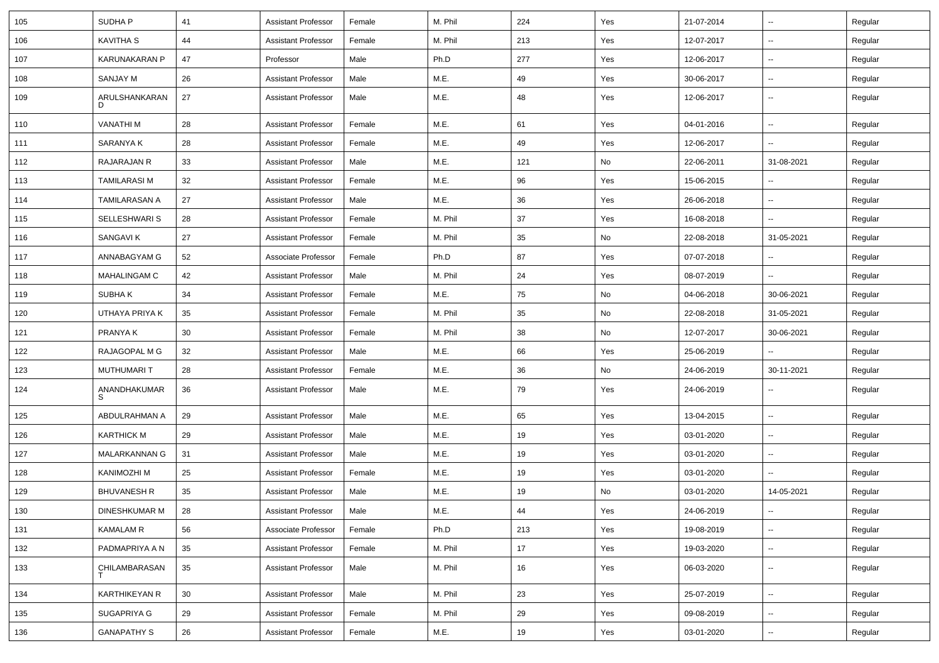| 105 | SUDHA P              | 41 | <b>Assistant Professor</b> | Female | M. Phil | 224 | Yes | 21-07-2014 | $\overline{\phantom{a}}$ | Regular |
|-----|----------------------|----|----------------------------|--------|---------|-----|-----|------------|--------------------------|---------|
| 106 | <b>KAVITHA S</b>     | 44 | <b>Assistant Professor</b> | Female | M. Phil | 213 | Yes | 12-07-2017 | $\overline{\phantom{a}}$ | Regular |
| 107 | KARUNAKARAN P        | 47 | Professor                  | Male   | Ph.D    | 277 | Yes | 12-06-2017 | $\overline{\phantom{a}}$ | Regular |
| 108 | SANJAY M             | 26 | <b>Assistant Professor</b> | Male   | M.E.    | 49  | Yes | 30-06-2017 | --                       | Regular |
| 109 | ARULSHANKARAN<br>D   | 27 | <b>Assistant Professor</b> | Male   | M.E.    | 48  | Yes | 12-06-2017 | ⊷.                       | Regular |
| 110 | <b>VANATHIM</b>      | 28 | <b>Assistant Professor</b> | Female | M.E.    | 61  | Yes | 04-01-2016 | Ξ.                       | Regular |
| 111 | SARANYA K            | 28 | <b>Assistant Professor</b> | Female | M.E.    | 49  | Yes | 12-06-2017 | Щ,                       | Regular |
| 112 | RAJARAJAN R          | 33 | <b>Assistant Professor</b> | Male   | M.E.    | 121 | No  | 22-06-2011 | 31-08-2021               | Regular |
| 113 | <b>TAMILARASI M</b>  | 32 | Assistant Professor        | Female | M.E.    | 96  | Yes | 15-06-2015 | $\sim$                   | Regular |
| 114 | TAMILARASAN A        | 27 | Assistant Professor        | Male   | M.E.    | 36  | Yes | 26-06-2018 | $\sim$                   | Regular |
| 115 | SELLESHWARI S        | 28 | <b>Assistant Professor</b> | Female | M. Phil | 37  | Yes | 16-08-2018 | $\overline{\phantom{a}}$ | Regular |
| 116 | SANGAVI K            | 27 | <b>Assistant Professor</b> | Female | M. Phil | 35  | No  | 22-08-2018 | 31-05-2021               | Regular |
| 117 | ANNABAGYAM G         | 52 | Associate Professor        | Female | Ph.D    | 87  | Yes | 07-07-2018 | $\overline{\phantom{a}}$ | Regular |
| 118 | MAHALINGAM C         | 42 | <b>Assistant Professor</b> | Male   | M. Phil | 24  | Yes | 08-07-2019 | $\sim$                   | Regular |
| 119 | SUBHA K              | 34 | <b>Assistant Professor</b> | Female | M.E.    | 75  | No  | 04-06-2018 | 30-06-2021               | Regular |
| 120 | UTHAYA PRIYA K       | 35 | <b>Assistant Professor</b> | Female | M. Phil | 35  | No  | 22-08-2018 | 31-05-2021               | Regular |
| 121 | PRANYA K             | 30 | <b>Assistant Professor</b> | Female | M. Phil | 38  | No  | 12-07-2017 | 30-06-2021               | Regular |
| 122 | RAJAGOPAL M G        | 32 | <b>Assistant Professor</b> | Male   | M.E.    | 66  | Yes | 25-06-2019 |                          | Regular |
| 123 | MUTHUMARI T          | 28 | <b>Assistant Professor</b> | Female | M.E.    | 36  | No  | 24-06-2019 | 30-11-2021               | Regular |
| 124 | ANANDHAKUMAR<br>S    | 36 | <b>Assistant Professor</b> | Male   | M.E.    | 79  | Yes | 24-06-2019 | н.                       | Regular |
| 125 | ABDULRAHMAN A        | 29 | <b>Assistant Professor</b> | Male   | M.E.    | 65  | Yes | 13-04-2015 | $\sim$                   | Regular |
| 126 | <b>KARTHICK M</b>    | 29 | Assistant Professor        | Male   | M.E.    | 19  | Yes | 03-01-2020 | н.                       | Regular |
| 127 | MALARKANNAN G        | 31 | <b>Assistant Professor</b> | Male   | M.E.    | 19  | Yes | 03-01-2020 | $\sim$                   | Regular |
| 128 | KANIMOZHI M          | 25 | <b>Assistant Professor</b> | Female | M.E.    | 19  | Yes | 03-01-2020 | $\overline{\phantom{a}}$ | Regular |
| 129 | <b>BHUVANESH R</b>   | 35 | <b>Assistant Professor</b> | Male   | M.E.    | 19  | No  | 03-01-2020 | 14-05-2021               | Regular |
| 130 | DINESHKUMAR M        | 28 | Assistant Professor        | Male   | M.E.    | 44  | Yes | 24-06-2019 |                          | Regular |
| 131 | <b>KAMALAM R</b>     | 56 | Associate Professor        | Female | Ph.D    | 213 | Yes | 19-08-2019 | $\sim$                   | Regular |
| 132 | PADMAPRIYA A N       | 35 | <b>Assistant Professor</b> | Female | M. Phil | 17  | Yes | 19-03-2020 | $\sim$                   | Regular |
| 133 | CHILAMBARASAN        | 35 | <b>Assistant Professor</b> | Male   | M. Phil | 16  | Yes | 06-03-2020 | $\sim$                   | Regular |
| 134 | <b>KARTHIKEYAN R</b> | 30 | <b>Assistant Professor</b> | Male   | M. Phil | 23  | Yes | 25-07-2019 | н.                       | Regular |
| 135 | SUGAPRIYA G          | 29 | <b>Assistant Professor</b> | Female | M. Phil | 29  | Yes | 09-08-2019 | н.                       | Regular |
| 136 | <b>GANAPATHY S</b>   | 26 | <b>Assistant Professor</b> | Female | M.E.    | 19  | Yes | 03-01-2020 | н.                       | Regular |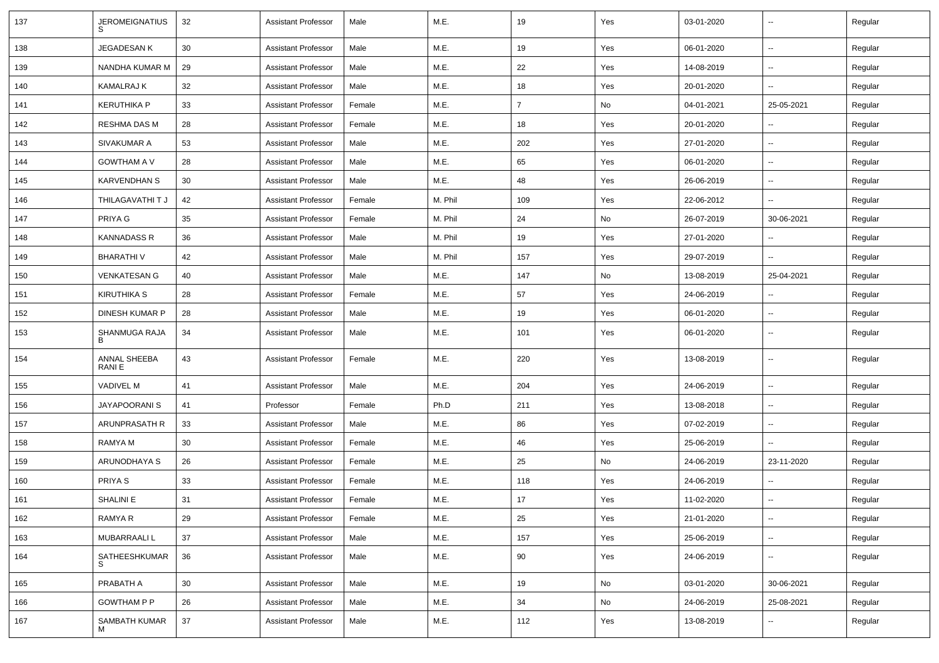| 137 | <b>JEROMEIGNATIUS</b>  | 32 | <b>Assistant Professor</b> | Male   | M.E.    | 19             | Yes           | 03-01-2020 | $\overline{\phantom{a}}$ | Regular |
|-----|------------------------|----|----------------------------|--------|---------|----------------|---------------|------------|--------------------------|---------|
| 138 | <b>JEGADESANK</b>      | 30 | <b>Assistant Professor</b> | Male   | M.E.    | 19             | Yes           | 06-01-2020 | $\sim$                   | Regular |
| 139 | NANDHA KUMAR M         | 29 | <b>Assistant Professor</b> | Male   | M.E.    | 22             | Yes           | 14-08-2019 | --                       | Regular |
| 140 | <b>KAMALRAJ K</b>      | 32 | <b>Assistant Professor</b> | Male   | M.E.    | 18             | Yes           | 20-01-2020 | $\sim$                   | Regular |
| 141 | <b>KERUTHIKA P</b>     | 33 | <b>Assistant Professor</b> | Female | M.E.    | $\overline{7}$ | No            | 04-01-2021 | 25-05-2021               | Regular |
| 142 | <b>RESHMA DAS M</b>    | 28 | <b>Assistant Professor</b> | Female | M.E.    | 18             | Yes           | 20-01-2020 |                          | Regular |
| 143 | SIVAKUMAR A            | 53 | <b>Assistant Professor</b> | Male   | M.E.    | 202            | Yes           | 27-01-2020 | $\sim$                   | Regular |
| 144 | <b>GOWTHAM A V</b>     | 28 | <b>Assistant Professor</b> | Male   | M.E.    | 65             | Yes           | 06-01-2020 | $\sim$                   | Regular |
| 145 | <b>KARVENDHAN S</b>    | 30 | <b>Assistant Professor</b> | Male   | M.E.    | 48             | Yes           | 26-06-2019 | ۰.                       | Regular |
| 146 | THILAGAVATHI T J       | 42 | <b>Assistant Professor</b> | Female | M. Phil | 109            | Yes           | 22-06-2012 | Ξ.                       | Regular |
| 147 | PRIYA G                | 35 | <b>Assistant Professor</b> | Female | M. Phil | 24             | No            | 26-07-2019 | 30-06-2021               | Regular |
| 148 | <b>KANNADASS R</b>     | 36 | <b>Assistant Professor</b> | Male   | M. Phil | 19             | Yes           | 27-01-2020 |                          | Regular |
| 149 | <b>BHARATHIV</b>       | 42 | <b>Assistant Professor</b> | Male   | M. Phil | 157            | Yes           | 29-07-2019 | $\ddot{\phantom{a}}$     | Regular |
| 150 | <b>VENKATESAN G</b>    | 40 | <b>Assistant Professor</b> | Male   | M.E.    | 147            | No            | 13-08-2019 | 25-04-2021               | Regular |
| 151 | <b>KIRUTHIKA S</b>     | 28 | <b>Assistant Professor</b> | Female | M.E.    | 57             | Yes           | 24-06-2019 | $\overline{\phantom{a}}$ | Regular |
| 152 | DINESH KUMAR P         | 28 | <b>Assistant Professor</b> | Male   | M.E.    | 19             | Yes           | 06-01-2020 |                          | Regular |
| 153 | SHANMUGA RAJA<br>B     | 34 | <b>Assistant Professor</b> | Male   | M.E.    | 101            | Yes           | 06-01-2020 | $\overline{\phantom{a}}$ | Regular |
| 154 | ANNAL SHEEBA<br>RANI E | 43 | <b>Assistant Professor</b> | Female | M.E.    | 220            | Yes           | 13-08-2019 | $\overline{\phantom{a}}$ | Regular |
| 155 | <b>VADIVEL M</b>       | 41 | <b>Assistant Professor</b> | Male   | M.E.    | 204            | Yes           | 24-06-2019 | $\overline{\phantom{a}}$ | Regular |
| 156 | <b>JAYAPOORANI S</b>   | 41 | Professor                  | Female | Ph.D    | 211            | Yes           | 13-08-2018 | --                       | Regular |
| 157 | ARUNPRASATH R          | 33 | <b>Assistant Professor</b> | Male   | M.E.    | 86             | Yes           | 07-02-2019 | $\overline{\phantom{a}}$ | Regular |
| 158 | RAMYA M                | 30 | <b>Assistant Professor</b> | Female | M.E.    | 46             | Yes           | 25-06-2019 | $\sim$                   | Regular |
| 159 | ARUNODHAYA S           | 26 | <b>Assistant Professor</b> | Female | M.E.    | 25             | No            | 24-06-2019 | 23-11-2020               | Regular |
| 160 | PRIYA <sub>S</sub>     | 33 | <b>Assistant Professor</b> | Female | M.E.    | 118            | Yes           | 24-06-2019 | $\overline{\phantom{a}}$ | Regular |
| 161 | SHALINI E              | 31 | <b>Assistant Professor</b> | Female | M.E.    | 17             | Yes           | 11-02-2020 |                          | Regular |
| 162 | RAMYA R                | 29 | <b>Assistant Professor</b> | Female | M.E.    | 25             | Yes           | 21-01-2020 | Ξ.                       | Regular |
| 163 | MUBARRAALI L           | 37 | <b>Assistant Professor</b> | Male   | M.E.    | 157            | Yes           | 25-06-2019 | Ξ.                       | Regular |
| 164 | SATHEESHKUMAR          | 36 | <b>Assistant Professor</b> | Male   | M.E.    | 90             | Yes           | 24-06-2019 | $\sim$                   | Regular |
| 165 | PRABATH A              | 30 | <b>Assistant Professor</b> | Male   | M.E.    | 19             | $\mathsf{No}$ | 03-01-2020 | 30-06-2021               | Regular |
| 166 | <b>GOWTHAM P P</b>     | 26 | <b>Assistant Professor</b> | Male   | M.E.    | 34             | No            | 24-06-2019 | 25-08-2021               | Regular |
| 167 | SAMBATH KUMAR<br>M     | 37 | <b>Assistant Professor</b> | Male   | M.E.    | 112            | Yes           | 13-08-2019 |                          | Regular |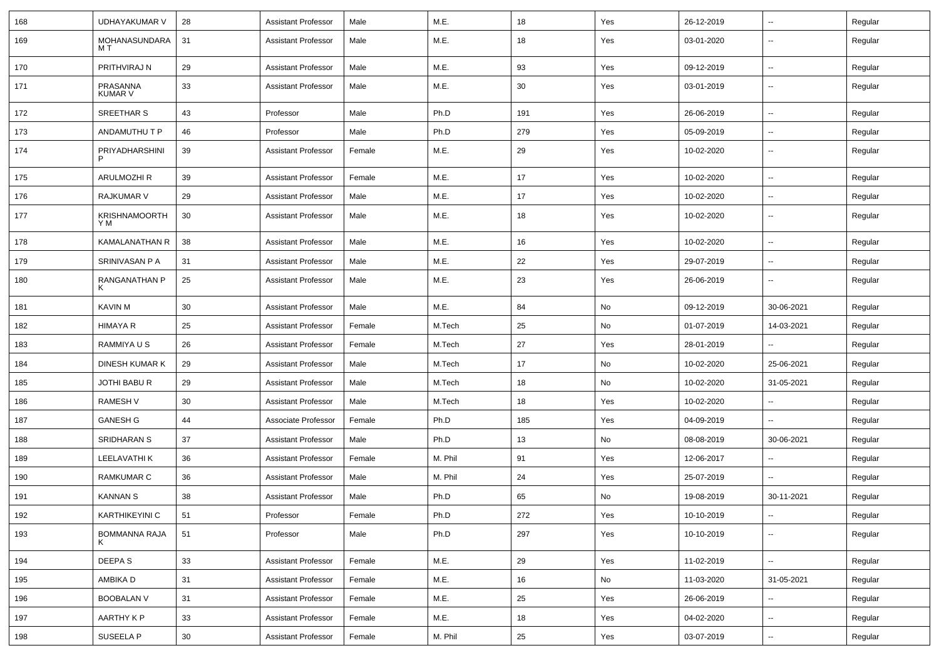| 168 | <b>UDHAYAKUMAR V</b>        | 28 | <b>Assistant Professor</b> | Male   | M.E.    | 18  | Yes | 26-12-2019 | $\overline{\phantom{a}}$ | Regular |
|-----|-----------------------------|----|----------------------------|--------|---------|-----|-----|------------|--------------------------|---------|
| 169 | MOHANASUNDARA<br>MТ         | 31 | <b>Assistant Professor</b> | Male   | M.E.    | 18  | Yes | 03-01-2020 | $\overline{\phantom{a}}$ | Regular |
| 170 | PRITHVIRAJ N                | 29 | <b>Assistant Professor</b> | Male   | M.E.    | 93  | Yes | 09-12-2019 | н.                       | Regular |
| 171 | PRASANNA<br><b>KUMAR V</b>  | 33 | <b>Assistant Professor</b> | Male   | M.E.    | 30  | Yes | 03-01-2019 | $\overline{\phantom{a}}$ | Regular |
| 172 | SREETHAR S                  | 43 | Professor                  | Male   | Ph.D    | 191 | Yes | 26-06-2019 | Щ,                       | Regular |
| 173 | ANDAMUTHU T P               | 46 | Professor                  | Male   | Ph.D    | 279 | Yes | 05-09-2019 | --                       | Regular |
| 174 | PRIYADHARSHINI<br>P         | 39 | <b>Assistant Professor</b> | Female | M.E.    | 29  | Yes | 10-02-2020 | --                       | Regular |
| 175 | <b>ARULMOZHI R</b>          | 39 | <b>Assistant Professor</b> | Female | M.E.    | 17  | Yes | 10-02-2020 | $\overline{\phantom{a}}$ | Regular |
| 176 | RAJKUMAR V                  | 29 | <b>Assistant Professor</b> | Male   | M.E.    | 17  | Yes | 10-02-2020 | $\sim$                   | Regular |
| 177 | <b>KRISHNAMOORTH</b><br>Y M | 30 | <b>Assistant Professor</b> | Male   | M.E.    | 18  | Yes | 10-02-2020 | н.                       | Regular |
| 178 | KAMALANATHAN R              | 38 | <b>Assistant Professor</b> | Male   | M.E.    | 16  | Yes | 10-02-2020 | Щ,                       | Regular |
| 179 | SRINIVASAN P A              | 31 | <b>Assistant Professor</b> | Male   | M.E.    | 22  | Yes | 29-07-2019 | н.                       | Regular |
| 180 | RANGANATHAN P<br>К          | 25 | <b>Assistant Professor</b> | Male   | M.E.    | 23  | Yes | 26-06-2019 | ⊷.                       | Regular |
| 181 | <b>KAVIN M</b>              | 30 | <b>Assistant Professor</b> | Male   | M.E.    | 84  | No  | 09-12-2019 | 30-06-2021               | Regular |
| 182 | <b>HIMAYA R</b>             | 25 | <b>Assistant Professor</b> | Female | M.Tech  | 25  | No  | 01-07-2019 | 14-03-2021               | Regular |
| 183 | RAMMIYA U S                 | 26 | <b>Assistant Professor</b> | Female | M.Tech  | 27  | Yes | 28-01-2019 |                          | Regular |
| 184 | DINESH KUMAR K              | 29 | <b>Assistant Professor</b> | Male   | M.Tech  | 17  | No  | 10-02-2020 | 25-06-2021               | Regular |
| 185 | JOTHI BABU R                | 29 | <b>Assistant Professor</b> | Male   | M.Tech  | 18  | No  | 10-02-2020 | 31-05-2021               | Regular |
| 186 | <b>RAMESH V</b>             | 30 | <b>Assistant Professor</b> | Male   | M.Tech  | 18  | Yes | 10-02-2020 | н.                       | Regular |
| 187 | <b>GANESH G</b>             | 44 | Associate Professor        | Female | Ph.D    | 185 | Yes | 04-09-2019 |                          | Regular |
| 188 | SRIDHARAN S                 | 37 | <b>Assistant Professor</b> | Male   | Ph.D    | 13  | No  | 08-08-2019 | 30-06-2021               | Regular |
| 189 | LEELAVATHI K                | 36 | <b>Assistant Professor</b> | Female | M. Phil | 91  | Yes | 12-06-2017 |                          | Regular |
| 190 | RAMKUMAR C                  | 36 | <b>Assistant Professor</b> | Male   | M. Phil | 24  | Yes | 25-07-2019 | Ξ.                       | Regular |
| 191 | <b>KANNAN S</b>             | 38 | <b>Assistant Professor</b> | Male   | Ph.D    | 65  | No  | 19-08-2019 | 30-11-2021               | Regular |
| 192 | KARTHIKEYINI C              | 51 | Professor                  | Female | Ph.D    | 272 | Yes | 10-10-2019 | $\sim$                   | Regular |
| 193 | <b>BOMMANNA RAJA</b>        | 51 | Professor                  | Male   | Ph.D    | 297 | Yes | 10-10-2019 | $\sim$                   | Regular |
| 194 | DEEPA S                     | 33 | <b>Assistant Professor</b> | Female | M.E.    | 29  | Yes | 11-02-2019 | $\sim$                   | Regular |
| 195 | AMBIKA D                    | 31 | <b>Assistant Professor</b> | Female | M.E.    | 16  | No  | 11-03-2020 | 31-05-2021               | Regular |
| 196 | <b>BOOBALAN V</b>           | 31 | <b>Assistant Professor</b> | Female | M.E.    | 25  | Yes | 26-06-2019 | $\overline{\phantom{a}}$ | Regular |
| 197 | AARTHY K P                  | 33 | <b>Assistant Professor</b> | Female | M.E.    | 18  | Yes | 04-02-2020 | $\sim$                   | Regular |
| 198 | SUSEELA P                   | 30 | <b>Assistant Professor</b> | Female | M. Phil | 25  | Yes | 03-07-2019 | $\sim$                   | Regular |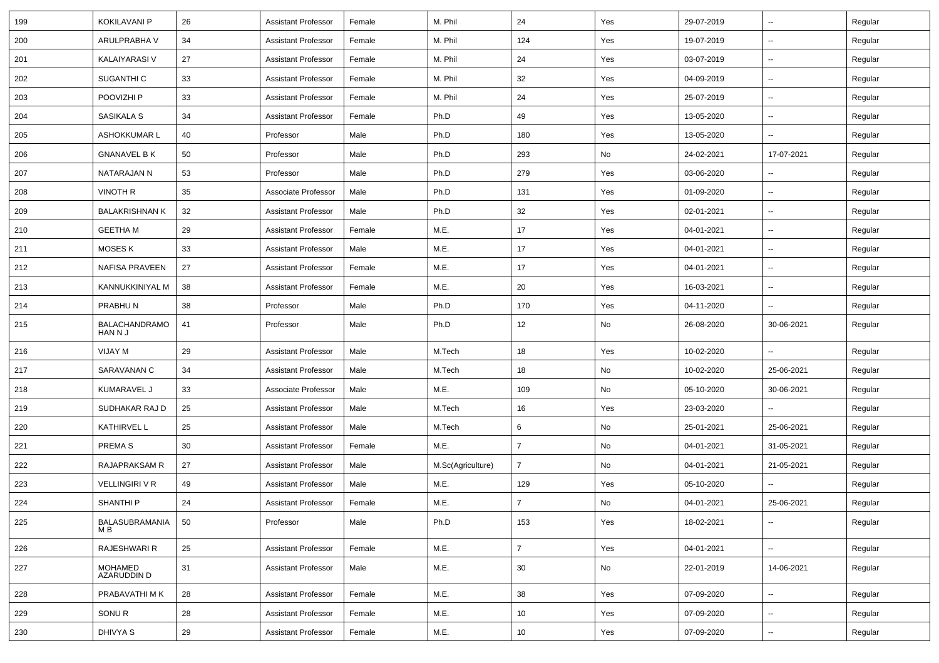| 199 | <b>KOKILAVANI P</b>             | 26 | <b>Assistant Professor</b> | Female | M. Phil           | 24             | Yes | 29-07-2019 | $\overline{\phantom{a}}$ | Regular |
|-----|---------------------------------|----|----------------------------|--------|-------------------|----------------|-----|------------|--------------------------|---------|
| 200 | ARULPRABHA V                    | 34 | <b>Assistant Professor</b> | Female | M. Phil           | 124            | Yes | 19-07-2019 | $\sim$                   | Regular |
| 201 | KALAIYARASI V                   | 27 | <b>Assistant Professor</b> | Female | M. Phil           | 24             | Yes | 03-07-2019 | --                       | Regular |
| 202 | SUGANTHI C                      | 33 | <b>Assistant Professor</b> | Female | M. Phil           | 32             | Yes | 04-09-2019 | $\overline{\phantom{a}}$ | Regular |
| 203 | POOVIZHI P                      | 33 | <b>Assistant Professor</b> | Female | M. Phil           | 24             | Yes | 25-07-2019 | ⊷.                       | Regular |
| 204 | SASIKALA S                      | 34 | <b>Assistant Professor</b> | Female | Ph.D              | 49             | Yes | 13-05-2020 | $\overline{\phantom{a}}$ | Regular |
| 205 | ASHOKKUMAR L                    | 40 | Professor                  | Male   | Ph.D              | 180            | Yes | 13-05-2020 | Ξ.                       | Regular |
| 206 | <b>GNANAVEL B K</b>             | 50 | Professor                  | Male   | Ph.D              | 293            | No  | 24-02-2021 | 17-07-2021               | Regular |
| 207 | NATARAJAN N                     | 53 | Professor                  | Male   | Ph.D              | 279            | Yes | 03-06-2020 | н.                       | Regular |
| 208 | <b>VINOTH R</b>                 | 35 | Associate Professor        | Male   | Ph.D              | 131            | Yes | 01-09-2020 | --                       | Regular |
| 209 | <b>BALAKRISHNAN K</b>           | 32 | <b>Assistant Professor</b> | Male   | Ph.D              | 32             | Yes | 02-01-2021 | $\overline{\phantom{a}}$ | Regular |
| 210 | <b>GEETHA M</b>                 | 29 | <b>Assistant Professor</b> | Female | M.E.              | 17             | Yes | 04-01-2021 | $\overline{\phantom{a}}$ | Regular |
| 211 | MOSES K                         | 33 | <b>Assistant Professor</b> | Male   | M.E.              | 17             | Yes | 04-01-2021 | Ξ.                       | Regular |
| 212 | NAFISA PRAVEEN                  | 27 | <b>Assistant Professor</b> | Female | M.E.              | 17             | Yes | 04-01-2021 | $\sim$                   | Regular |
| 213 | KANNUKKINIYAL M                 | 38 | <b>Assistant Professor</b> | Female | M.E.              | 20             | Yes | 16-03-2021 | $\overline{\phantom{a}}$ | Regular |
| 214 | PRABHUN                         | 38 | Professor                  | Male   | Ph.D              | 170            | Yes | 04-11-2020 | н.                       | Regular |
| 215 | <b>BALACHANDRAMO</b><br>HAN N J | 41 | Professor                  | Male   | Ph.D              | 12             | No  | 26-08-2020 | 30-06-2021               | Regular |
| 216 | VIJAY M                         | 29 | <b>Assistant Professor</b> | Male   | M.Tech            | 18             | Yes | 10-02-2020 | $\overline{\phantom{a}}$ | Regular |
| 217 | SARAVANAN C                     | 34 | <b>Assistant Professor</b> | Male   | M.Tech            | 18             | No  | 10-02-2020 | 25-06-2021               | Regular |
| 218 | KUMARAVEL J                     | 33 | Associate Professor        | Male   | M.E.              | 109            | No  | 05-10-2020 | 30-06-2021               | Regular |
| 219 | SUDHAKAR RAJ D                  | 25 | <b>Assistant Professor</b> | Male   | M.Tech            | 16             | Yes | 23-03-2020 | $\overline{\phantom{a}}$ | Regular |
| 220 | KATHIRVEL L                     | 25 | <b>Assistant Professor</b> | Male   | M.Tech            | 6              | No  | 25-01-2021 | 25-06-2021               | Regular |
| 221 | PREMA S                         | 30 | <b>Assistant Professor</b> | Female | M.E.              | $\overline{7}$ | No  | 04-01-2021 | 31-05-2021               | Regular |
| 222 | RAJAPRAKSAM R                   | 27 | <b>Assistant Professor</b> | Male   | M.Sc(Agriculture) | $\overline{7}$ | No  | 04-01-2021 | 21-05-2021               | Regular |
| 223 | <b>VELLINGIRI V R</b>           | 49 | <b>Assistant Professor</b> | Male   | M.E.              | 129            | Yes | 05-10-2020 |                          | Regular |
| 224 | SHANTHI P                       | 24 | <b>Assistant Professor</b> | Female | M.E.              | 7              | No  | 04-01-2021 | 25-06-2021               | Regular |
| 225 | BALASUBRAMANIA<br>M B           | 50 | Professor                  | Male   | Ph.D              | 153            | Yes | 18-02-2021 | $\sim$                   | Regular |
| 226 | RAJESHWARI R                    | 25 | <b>Assistant Professor</b> | Female | M.E.              | $\overline{7}$ | Yes | 04-01-2021 | н.                       | Regular |
| 227 | MOHAMED<br>AZARUDDIN D          | 31 | <b>Assistant Professor</b> | Male   | M.E.              | 30             | No  | 22-01-2019 | 14-06-2021               | Regular |
| 228 | PRABAVATHI M K                  | 28 | <b>Assistant Professor</b> | Female | M.E.              | 38             | Yes | 07-09-2020 | Ξ.                       | Regular |
| 229 | SONU <sub>R</sub>               | 28 | <b>Assistant Professor</b> | Female | M.E.              | 10             | Yes | 07-09-2020 | $\sim$                   | Regular |
| 230 | DHIVYA S                        | 29 | <b>Assistant Professor</b> | Female | M.E.              | 10             | Yes | 07-09-2020 | $\overline{\phantom{a}}$ | Regular |